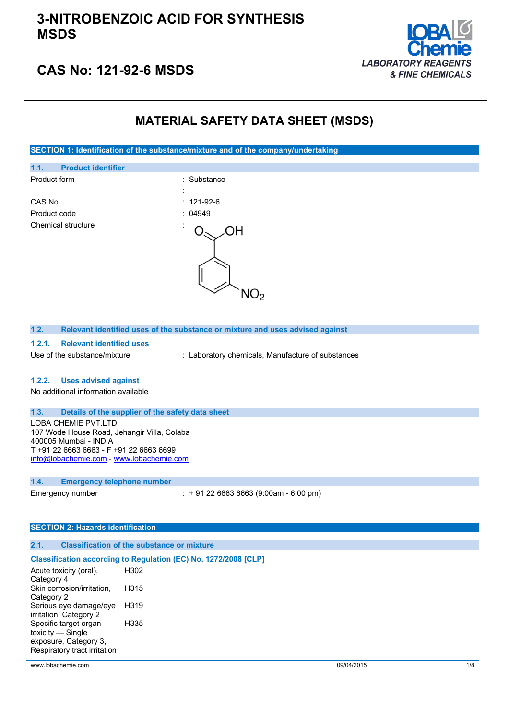

## **CAS No: 121-92-6 MSDS**

### **MATERIAL SAFETY DATA SHEET (MSDS)**

**SECTION 1: Identification of the substance/mixture and of the company/undertaking**



**1.2. Relevant identified uses of the substance or mixture and uses advised against**

### **1.2.1. Relevant identified uses**

Use of the substance/mixture : Laboratory chemicals, Manufacture of substances

#### **1.2.2. Uses advised against**

No additional information available

#### **1.3. Details of the supplier of the safety data sheet**

LOBA CHEMIE PVT.LTD. 107 Wode House Road, Jehangir Villa, Colaba 400005 Mumbai - INDIA T +91 22 6663 6663 - F +91 22 6663 6699 [info@lobachemie.com](mailto:info@lobachemie.com) - <www.lobachemie.com>

#### **1.4. Emergency telephone number**

Emergency number : + 91 22 6663 6663 (9:00am - 6:00 pm)

### **SECTION 2: Hazards identification**

#### **2.1. Classification of the substance or mixture**

### **Classification according to Regulation (EC) No. 1272/2008 [CLP]**

| Acute toxicity (oral),       | H302 |
|------------------------------|------|
| Category 4                   |      |
| Skin corrosion/irritation,   | H315 |
| Category 2                   |      |
| Serious eye damage/eye       | H319 |
| irritation, Category 2       |      |
| Specific target organ        | H335 |
| toxicity — Single            |      |
| exposure, Category 3,        |      |
| Respiratory tract irritation |      |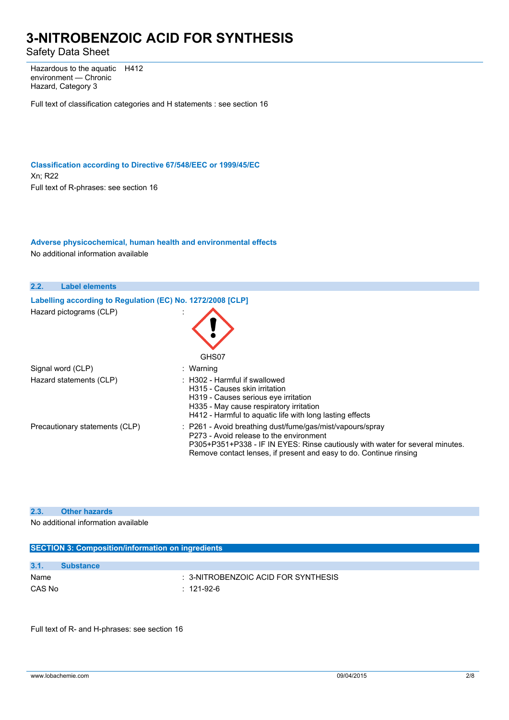Safety Data Sheet

Hazardous to the aquatic environment — Chronic Hazard, Category 3 H412

Full text of classification categories and H statements : see section 16

**Classification according to Directive 67/548/EEC or 1999/45/EC** Xn; R22 Full text of R-phrases: see section 16

### **Adverse physicochemical, human health and environmental effects**

No additional information available



### **2.3. Other hazards**

No additional information available

| <b>SECTION 3: Composition/information on ingredients</b> |                                                |  |
|----------------------------------------------------------|------------------------------------------------|--|
|                                                          |                                                |  |
| 3.1.                                                     | <b>Substance</b>                               |  |
| Name                                                     | $\therefore$ 3-NITROBENZOIC ACID FOR SYNTHESIS |  |
| CAS No                                                   | : 121-92-6                                     |  |
|                                                          |                                                |  |

Full text of R- and H-phrases: see section 16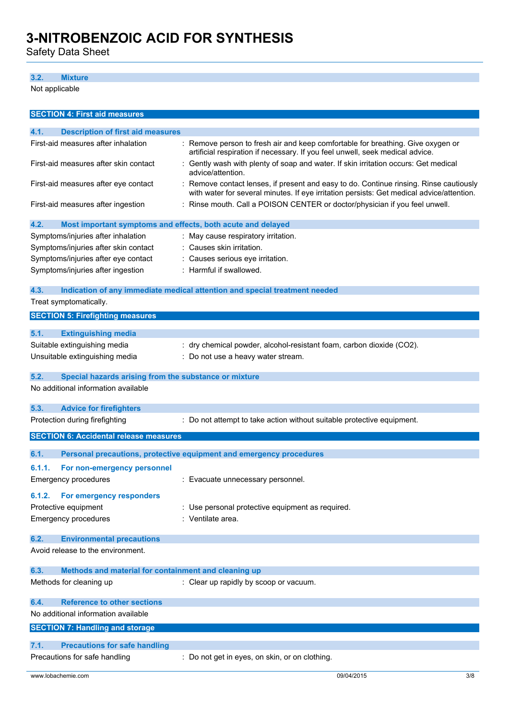Safety Data Sheet

### **3.2. Mixture**

Not applicable

| <b>SECTION 4: First aid measures</b>                                |                                                                                                                                                                                   |  |
|---------------------------------------------------------------------|-----------------------------------------------------------------------------------------------------------------------------------------------------------------------------------|--|
| 4.1.<br><b>Description of first aid measures</b>                    |                                                                                                                                                                                   |  |
| First-aid measures after inhalation                                 | Remove person to fresh air and keep comfortable for breathing. Give oxygen or<br>artificial respiration if necessary. If you feel unwell, seek medical advice.                    |  |
| First-aid measures after skin contact                               | Gently wash with plenty of soap and water. If skin irritation occurs: Get medical<br>advice/attention.                                                                            |  |
| First-aid measures after eye contact                                | Remove contact lenses, if present and easy to do. Continue rinsing. Rinse cautiously<br>with water for several minutes. If eye irritation persists: Get medical advice/attention. |  |
| First-aid measures after ingestion                                  | Rinse mouth. Call a POISON CENTER or doctor/physician if you feel unwell.                                                                                                         |  |
| 4.2.<br>Most important symptoms and effects, both acute and delayed |                                                                                                                                                                                   |  |
| Symptoms/injuries after inhalation                                  | : May cause respiratory irritation.                                                                                                                                               |  |
| Symptoms/injuries after skin contact                                | : Causes skin irritation.                                                                                                                                                         |  |
| Symptoms/injuries after eye contact                                 | : Causes serious eye irritation.                                                                                                                                                  |  |
| Symptoms/injuries after ingestion                                   | : Harmful if swallowed.                                                                                                                                                           |  |
| 4.3.                                                                | Indication of any immediate medical attention and special treatment needed                                                                                                        |  |
| Treat symptomatically.                                              |                                                                                                                                                                                   |  |
| <b>SECTION 5: Firefighting measures</b>                             |                                                                                                                                                                                   |  |
| 5.1.<br><b>Extinguishing media</b>                                  |                                                                                                                                                                                   |  |
| Suitable extinguishing media                                        | : dry chemical powder, alcohol-resistant foam, carbon dioxide (CO2).                                                                                                              |  |
| Unsuitable extinguishing media                                      | : Do not use a heavy water stream.                                                                                                                                                |  |
|                                                                     |                                                                                                                                                                                   |  |
| 5.2.<br>Special hazards arising from the substance or mixture       |                                                                                                                                                                                   |  |
| No additional information available                                 |                                                                                                                                                                                   |  |
| 5.3.<br><b>Advice for firefighters</b>                              |                                                                                                                                                                                   |  |
| Protection during firefighting                                      | : Do not attempt to take action without suitable protective equipment.                                                                                                            |  |
| <b>SECTION 6: Accidental release measures</b>                       |                                                                                                                                                                                   |  |
| 6.1.                                                                |                                                                                                                                                                                   |  |
|                                                                     | Personal precautions, protective equipment and emergency procedures                                                                                                               |  |
| 6.1.1.<br>For non-emergency personnel                               |                                                                                                                                                                                   |  |
| <b>Emergency procedures</b>                                         | Evacuate unnecessary personnel.                                                                                                                                                   |  |
| For emergency responders<br>6.1.2.                                  |                                                                                                                                                                                   |  |
| Protective equipment                                                | : Use personal protective equipment as required.                                                                                                                                  |  |
| <b>Emergency procedures</b>                                         | : Ventilate area.                                                                                                                                                                 |  |
| 6.2.<br><b>Environmental precautions</b>                            |                                                                                                                                                                                   |  |
| Avoid release to the environment.                                   |                                                                                                                                                                                   |  |
| 6.3.<br>Methods and material for containment and cleaning up        |                                                                                                                                                                                   |  |
| Methods for cleaning up                                             | : Clear up rapidly by scoop or vacuum.                                                                                                                                            |  |
|                                                                     |                                                                                                                                                                                   |  |
| 6.4.<br><b>Reference to other sections</b>                          |                                                                                                                                                                                   |  |
| No additional information available                                 |                                                                                                                                                                                   |  |
| <b>SECTION 7: Handling and storage</b>                              |                                                                                                                                                                                   |  |
| <b>Precautions for safe handling</b><br>7.1.                        |                                                                                                                                                                                   |  |
| Precautions for safe handling                                       | : Do not get in eyes, on skin, or on clothing.                                                                                                                                    |  |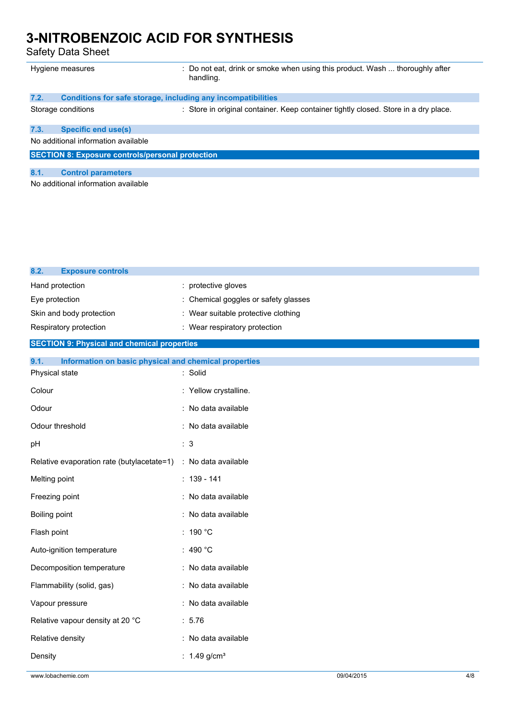Safety Data Sheet

**8.2. Exposure controls**

|                                     | Hygiene measures                                             | : Do not eat, drink or smoke when using this product. Wash  thoroughly after<br>handling. |
|-------------------------------------|--------------------------------------------------------------|-------------------------------------------------------------------------------------------|
| 7.2.                                | Conditions for safe storage, including any incompatibilities |                                                                                           |
|                                     | Storage conditions                                           | : Store in original container. Keep container tightly closed. Store in a dry place.       |
| 7.3.                                | Specific end use(s)                                          |                                                                                           |
|                                     | No additional information available                          |                                                                                           |
|                                     | <b>SECTION 8: Exposure controls/personal protection</b>      |                                                                                           |
| 8.1.                                | <b>Control parameters</b>                                    |                                                                                           |
| No additional information available |                                                              |                                                                                           |

| Hand protection                                               | : protective gloves                 |
|---------------------------------------------------------------|-------------------------------------|
| Eye protection                                                | Chemical goggles or safety glasses  |
| Skin and body protection                                      | : Wear suitable protective clothing |
| Respiratory protection                                        | : Wear respiratory protection       |
| <b>SECTION 9: Physical and chemical properties</b>            |                                     |
| 9.1.<br>Information on basic physical and chemical properties |                                     |
| Physical state                                                | : Solid                             |
| Colour                                                        | : Yellow crystalline.               |
| Odour                                                         | : No data available                 |
| Odour threshold                                               | : No data available                 |
| pH                                                            | : 3                                 |
| Relative evaporation rate (butylacetate=1)                    | : No data available                 |
| Melting point                                                 | $: 139 - 141$                       |
| Freezing point                                                | : No data available                 |
| Boiling point                                                 | : No data available                 |
| Flash point                                                   | : 190 $^{\circ}$ C                  |
| Auto-ignition temperature                                     | : 490 $^{\circ}$ C                  |
| Decomposition temperature                                     | : No data available                 |
| Flammability (solid, gas)                                     | : No data available                 |
| Vapour pressure                                               | : No data available                 |
| Relative vapour density at 20 °C                              | : 5.76                              |
| Relative density                                              | : No data available                 |
| Density                                                       | : $1.49$ g/cm <sup>3</sup>          |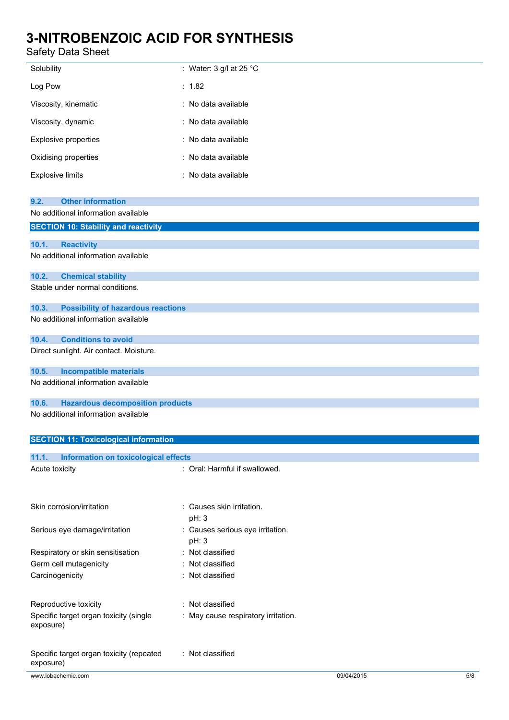### Safety Data Sheet

| Solubility                                                              | : Water: 3 g/l at 25 $^{\circ}$ C         |                   |
|-------------------------------------------------------------------------|-------------------------------------------|-------------------|
| Log Pow                                                                 | : 1.82                                    |                   |
| Viscosity, kinematic                                                    | : No data available                       |                   |
| Viscosity, dynamic                                                      | : No data available                       |                   |
| Explosive properties                                                    | : No data available                       |                   |
| Oxidising properties                                                    | No data available                         |                   |
| <b>Explosive limits</b>                                                 | No data available                         |                   |
|                                                                         |                                           |                   |
| <b>Other information</b><br>9.2.<br>No additional information available |                                           |                   |
| <b>SECTION 10: Stability and reactivity</b>                             |                                           |                   |
|                                                                         |                                           |                   |
| 10.1.<br><b>Reactivity</b>                                              |                                           |                   |
| No additional information available                                     |                                           |                   |
| 10.2.<br><b>Chemical stability</b>                                      |                                           |                   |
| Stable under normal conditions.                                         |                                           |                   |
| 10.3.<br><b>Possibility of hazardous reactions</b>                      |                                           |                   |
| No additional information available                                     |                                           |                   |
| <b>Conditions to avoid</b><br>10.4.                                     |                                           |                   |
| Direct sunlight. Air contact. Moisture.                                 |                                           |                   |
| <b>Incompatible materials</b><br>10.5.                                  |                                           |                   |
| No additional information available                                     |                                           |                   |
| <b>Hazardous decomposition products</b><br>10.6.                        |                                           |                   |
| No additional information available                                     |                                           |                   |
| <b>SECTION 11: Toxicological information</b>                            |                                           |                   |
|                                                                         |                                           |                   |
| 11.1.<br><b>Information on toxicological effects</b><br>Acute toxicity  | : Oral: Harmful if swallowed.             |                   |
|                                                                         |                                           |                   |
| Skin corrosion/irritation                                               | : Causes skin irritation.                 |                   |
|                                                                         | pH: 3                                     |                   |
| Serious eye damage/irritation                                           | : Causes serious eye irritation.<br>pH: 3 |                   |
| Respiratory or skin sensitisation                                       | : Not classified                          |                   |
| Germ cell mutagenicity                                                  | Not classified                            |                   |
| Carcinogenicity                                                         | Not classified                            |                   |
|                                                                         |                                           |                   |
| Reproductive toxicity                                                   | : Not classified                          |                   |
| Specific target organ toxicity (single<br>exposure)                     | May cause respiratory irritation.         |                   |
| Specific target organ toxicity (repeated<br>exposure)                   | : Not classified                          |                   |
| www.lobachemie.com                                                      |                                           | 09/04/2015<br>5/8 |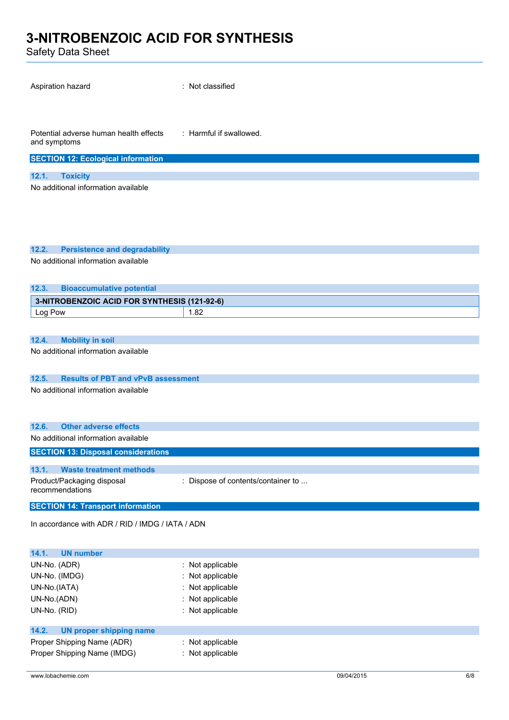Safety Data Sheet

| odicty Dutu Oncet                                      |                                    |
|--------------------------------------------------------|------------------------------------|
| Aspiration hazard                                      | : Not classified                   |
| Potential adverse human health effects<br>and symptoms | : Harmful if swallowed.            |
| <b>SECTION 12: Ecological information</b>              |                                    |
| 12.1.<br><b>Toxicity</b>                               |                                    |
| No additional information available                    |                                    |
|                                                        |                                    |
| 12.2.<br><b>Persistence and degradability</b>          |                                    |
| No additional information available                    |                                    |
| 12.3.<br><b>Bioaccumulative potential</b>              |                                    |
| 3-NITROBENZOIC ACID FOR SYNTHESIS (121-92-6)           |                                    |
| Log Pow                                                | 1.82                               |
|                                                        |                                    |
| <b>Mobility in soil</b><br>12.4.                       |                                    |
| No additional information available                    |                                    |
|                                                        |                                    |
| <b>Results of PBT and vPvB assessment</b><br>12.5.     |                                    |
| No additional information available                    |                                    |
|                                                        |                                    |
|                                                        |                                    |
| 12.6.<br><b>Other adverse effects</b>                  |                                    |
| No additional information available                    |                                    |
| <b>SECTION 13: Disposal considerations</b>             |                                    |
| <b>Waste treatment methods</b><br>13.1.                |                                    |
| Product/Packaging disposal                             | : Dispose of contents/container to |

recommendations **SECTION 14: Transport information**

In accordance with ADR / RID / IMDG / IATA / ADN

| 14.1.<br><b>UN number</b>        |                    |
|----------------------------------|--------------------|
| UN-No. (ADR)                     | : Not applicable   |
| UN-No. (IMDG)                    | : Not applicable   |
| UN-No.(IATA)                     | $:$ Not applicable |
| UN-No.(ADN)                      | : Not applicable   |
| UN-No. (RID)                     | $:$ Not applicable |
| 14.2.<br>UN proper shipping name |                    |
| Proper Shipping Name (ADR)       | $:$ Not applicable |
| Proper Shipping Name (IMDG)      | : Not applicable   |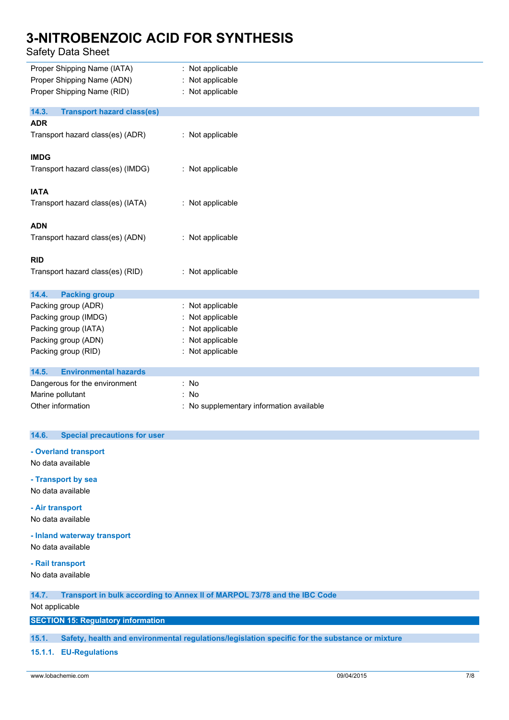### Safety Data Sheet

| Proper Shipping Name (IATA)                | : Not applicable                         |
|--------------------------------------------|------------------------------------------|
| Proper Shipping Name (ADN)                 | : Not applicable                         |
| Proper Shipping Name (RID)                 | : Not applicable                         |
| <b>Transport hazard class(es)</b><br>14.3. |                                          |
| <b>ADR</b>                                 |                                          |
| Transport hazard class(es) (ADR)           | : Not applicable                         |
| <b>IMDG</b>                                |                                          |
| Transport hazard class(es) (IMDG)          | : Not applicable                         |
| <b>IATA</b>                                |                                          |
| Transport hazard class(es) (IATA)          | : Not applicable                         |
| <b>ADN</b>                                 |                                          |
| Transport hazard class(es) (ADN)           | : Not applicable                         |
| <b>RID</b>                                 |                                          |
| Transport hazard class(es) (RID)           | : Not applicable                         |
| 14.4.<br><b>Packing group</b>              |                                          |
| Packing group (ADR)                        | : Not applicable                         |
| Packing group (IMDG)                       | : Not applicable                         |
| Packing group (IATA)                       | : Not applicable                         |
| Packing group (ADN)                        | Not applicable                           |
| Packing group (RID)                        | : Not applicable                         |
| <b>Environmental hazards</b><br>14.5.      |                                          |
| Dangerous for the environment              | : No                                     |
| Marine pollutant                           | : No                                     |
| Other information                          | : No supplementary information available |

### **14.6. Special precautions for user**

### **- Overland transport**

No data available

**- Transport by sea** No data available

**- Air transport**

No data available

**- Inland waterway transport**

No data available

### **- Rail transport**

No data available

**14.7. Transport in bulk according to Annex II of MARPOL 73/78 and the IBC Code**

Not applicable

### **SECTION 15: Regulatory information**

**15.1. Safety, health and environmental regulations/legislation specific for the substance or mixture**

**15.1.1. EU-Regulations**